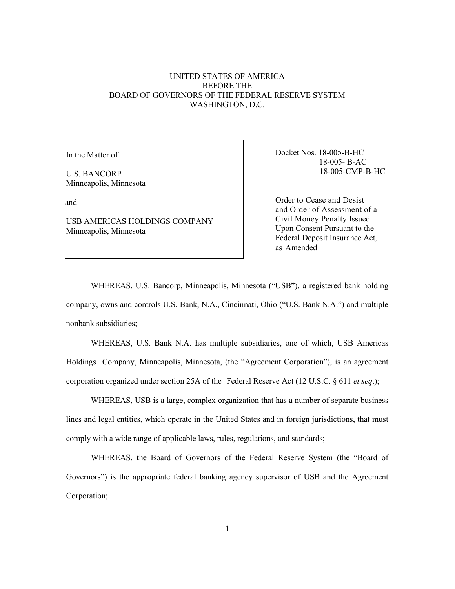# UNITED STATES OF AMERICA BEFORE THE BOARD OF GOVERNORS OF THE FEDERAL RESERVE SYSTEM WASHINGTON, D.C.

In the Matter of

U.S. BANCORP Minneapolis, Minnesota

and

USB AMERICAS HOLDINGS COMPANY Minneapolis, Minnesota

Docket Nos. 18-005-B-HC 18-005- B-AC 18-005-CMP-B-HC

Order to Cease and Desist and Order of Assessment of a Civil Money Penalty Issued Upon Consent Pursuant to the Federal Deposit Insurance Act, as Amended

WHEREAS, U.S. Bancorp, Minneapolis, Minnesota ("USB"), a registered bank holding company, owns and controls U.S. Bank, N.A., Cincinnati, Ohio ("U.S. Bank N.A.") and multiple nonbank subsidiaries;

WHEREAS, U.S. Bank N.A. has multiple subsidiaries, one of which, USB Americas Holdings Company, Minneapolis, Minnesota, (the "Agreement Corporation"), is an agreement corporation organized under section 25A of the Federal Reserve Act (12 U.S.C. § 611 *et seq*.);

WHEREAS, USB is a large, complex organization that has a number of separate business lines and legal entities, which operate in the United States and in foreign jurisdictions, that must comply with a wide range of applicable laws, rules, regulations, and standards;

WHEREAS, the Board of Governors of the Federal Reserve System (the "Board of Governors") is the appropriate federal banking agency supervisor of USB and the Agreement Corporation;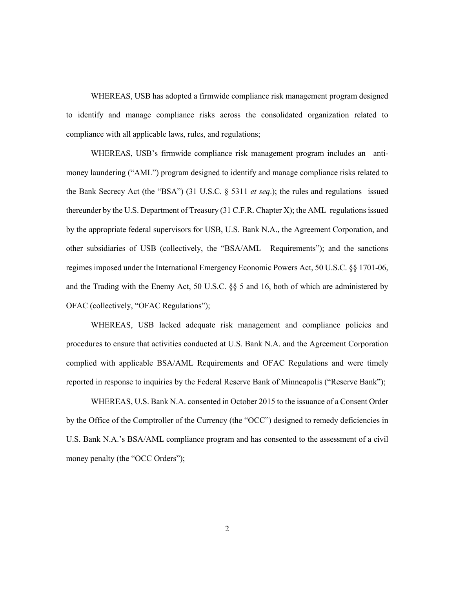WHEREAS, USB has adopted a firmwide compliance risk management program designed to identify and manage compliance risks across the consolidated organization related to compliance with all applicable laws, rules, and regulations;

WHEREAS, USB's firmwide compliance risk management program includes an antimoney laundering ("AML") program designed to identify and manage compliance risks related to the Bank Secrecy Act (the "BSA") (31 U.S.C. § 5311 *et seq*.); the rules and regulations issued thereunder by the U.S. Department of Treasury (31 C.F.R. Chapter X); the AML regulations issued by the appropriate federal supervisors for USB, U.S. Bank N.A., the Agreement Corporation, and other subsidiaries of USB (collectively, the "BSA/AML Requirements"); and the sanctions regimes imposed under the International Emergency Economic Powers Act, 50 U.S.C. §§ 1701-06, and the Trading with the Enemy Act, 50 U.S.C. §§ 5 and 16, both of which are administered by OFAC (collectively, "OFAC Regulations");

WHEREAS, USB lacked adequate risk management and compliance policies and procedures to ensure that activities conducted at U.S. Bank N.A. and the Agreement Corporation complied with applicable BSA/AML Requirements and OFAC Regulations and were timely reported in response to inquiries by the Federal Reserve Bank of Minneapolis ("Reserve Bank");

WHEREAS, U.S. Bank N.A. consented in October 2015 to the issuance of a Consent Order by the Office of the Comptroller of the Currency (the "OCC") designed to remedy deficiencies in U.S. Bank N.A.'s BSA/AML compliance program and has consented to the assessment of a civil money penalty (the "OCC Orders");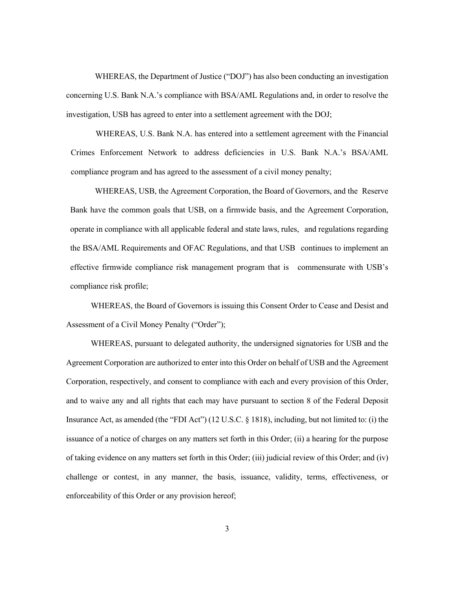WHEREAS, the Department of Justice ("DOJ") has also been conducting an investigation concerning U.S. Bank N.A.'s compliance with BSA/AML Regulations and, in order to resolve the investigation, USB has agreed to enter into a settlement agreement with the DOJ;

WHEREAS, U.S. Bank N.A. has entered into a settlement agreement with the Financial Crimes Enforcement Network to address deficiencies in U.S. Bank N.A.'s BSA/AML compliance program and has agreed to the assessment of a civil money penalty;

WHEREAS, USB, the Agreement Corporation, the Board of Governors, and the Reserve Bank have the common goals that USB, on a firmwide basis, and the Agreement Corporation, operate in compliance with all applicable federal and state laws, rules, and regulations regarding the BSA/AML Requirements and OFAC Regulations, and that USB continues to implement an effective firmwide compliance risk management program that is commensurate with USB's compliance risk profile;

WHEREAS, the Board of Governors is issuing this Consent Order to Cease and Desist and Assessment of a Civil Money Penalty ("Order");

WHEREAS, pursuant to delegated authority, the undersigned signatories for USB and the Agreement Corporation are authorized to enter into this Order on behalf of USB and the Agreement Corporation, respectively, and consent to compliance with each and every provision of this Order, and to waive any and all rights that each may have pursuant to section 8 of the Federal Deposit Insurance Act, as amended (the "FDI Act") (12 U.S.C. § 1818), including, but not limited to: (i) the issuance of a notice of charges on any matters set forth in this Order; (ii) a hearing for the purpose of taking evidence on any matters set forth in this Order; (iii) judicial review of this Order; and (iv) challenge or contest, in any manner, the basis, issuance, validity, terms, effectiveness, or enforceability of this Order or any provision hereof;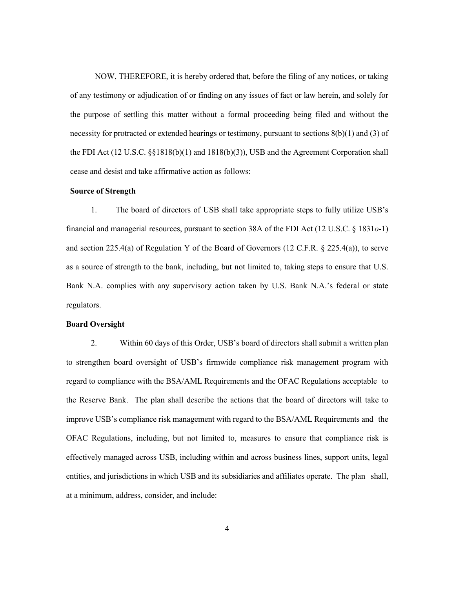NOW, THEREFORE, it is hereby ordered that, before the filing of any notices, or taking of any testimony or adjudication of or finding on any issues of fact or law herein, and solely for the purpose of settling this matter without a formal proceeding being filed and without the necessity for protracted or extended hearings or testimony, pursuant to sections  $8(b)(1)$  and  $(3)$  of the FDI Act (12 U.S.C. §§1818(b)(1) and 1818(b)(3)), USB and the Agreement Corporation shall cease and desist and take affirmative action as follows:

### **Source of Strength**

1. The board of directors of USB shall take appropriate steps to fully utilize USB's financial and managerial resources, pursuant to section 38A of the FDI Act (12 U.S.C. § 1831*o*-1) and section 225.4(a) of Regulation Y of the Board of Governors (12 C.F.R. § 225.4(a)), to serve as a source of strength to the bank, including, but not limited to, taking steps to ensure that U.S. Bank N.A. complies with any supervisory action taken by U.S. Bank N.A.'s federal or state regulators.

### **Board Oversight**

2. Within 60 days of this Order, USB's board of directors shall submit a written plan to strengthen board oversight of USB's firmwide compliance risk management program with regard to compliance with the BSA/AML Requirements and the OFAC Regulations acceptable to the Reserve Bank. The plan shall describe the actions that the board of directors will take to improve USB's compliance risk management with regard to the BSA/AML Requirements and the OFAC Regulations, including, but not limited to, measures to ensure that compliance risk is effectively managed across USB, including within and across business lines, support units, legal entities, and jurisdictions in which USB and its subsidiaries and affiliates operate. The plan shall, at a minimum, address, consider, and include: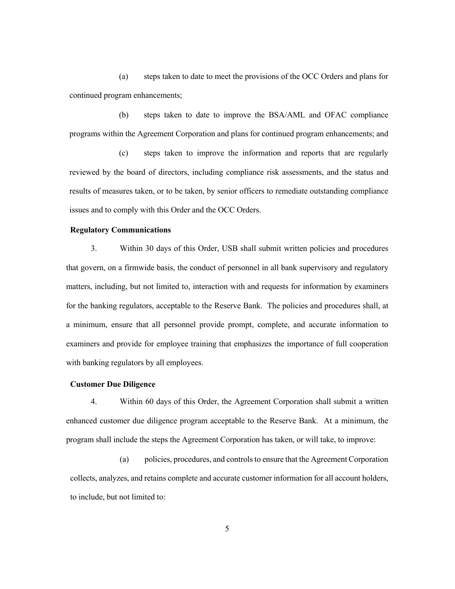(a) steps taken to date to meet the provisions of the OCC Orders and plans for continued program enhancements;

(b) steps taken to date to improve the BSA/AML and OFAC compliance programs within the Agreement Corporation and plans for continued program enhancements; and

(c) steps taken to improve the information and reports that are regularly reviewed by the board of directors, including compliance risk assessments, and the status and results of measures taken, or to be taken, by senior officers to remediate outstanding compliance issues and to comply with this Order and the OCC Orders.

### **Regulatory Communications**

3. Within 30 days of this Order, USB shall submit written policies and procedures that govern, on a firmwide basis, the conduct of personnel in all bank supervisory and regulatory matters, including, but not limited to, interaction with and requests for information by examiners for the banking regulators, acceptable to the Reserve Bank. The policies and procedures shall, at a minimum, ensure that all personnel provide prompt, complete, and accurate information to examiners and provide for employee training that emphasizes the importance of full cooperation with banking regulators by all employees.

## **Customer Due Diligence**

4. Within 60 days of this Order, the Agreement Corporation shall submit a written enhanced customer due diligence program acceptable to the Reserve Bank. At a minimum, the program shall include the steps the Agreement Corporation has taken, or will take, to improve:

(a) policies, procedures, and controls to ensure that the Agreement Corporation collects, analyzes, and retains complete and accurate customer information for all account holders, to include, but not limited to: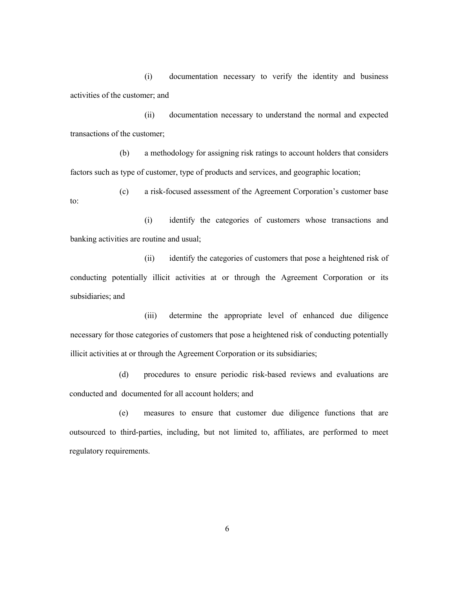(i) documentation necessary to verify the identity and business activities of the customer; and

(ii) documentation necessary to understand the normal and expected transactions of the customer;

(b) a methodology for assigning risk ratings to account holders that considers factors such as type of customer, type of products and services, and geographic location;

(c) a risk-focused assessment of the Agreement Corporation's customer base to:

(i) identify the categories of customers whose transactions and banking activities are routine and usual;

(ii) identify the categories of customers that pose a heightened risk of conducting potentially illicit activities at or through the Agreement Corporation or its subsidiaries; and

(iii) determine the appropriate level of enhanced due diligence necessary for those categories of customers that pose a heightened risk of conducting potentially illicit activities at or through the Agreement Corporation or its subsidiaries;

(d) procedures to ensure periodic risk-based reviews and evaluations are conducted and documented for all account holders; and

(e) measures to ensure that customer due diligence functions that are outsourced to third-parties, including, but not limited to, affiliates, are performed to meet regulatory requirements.

6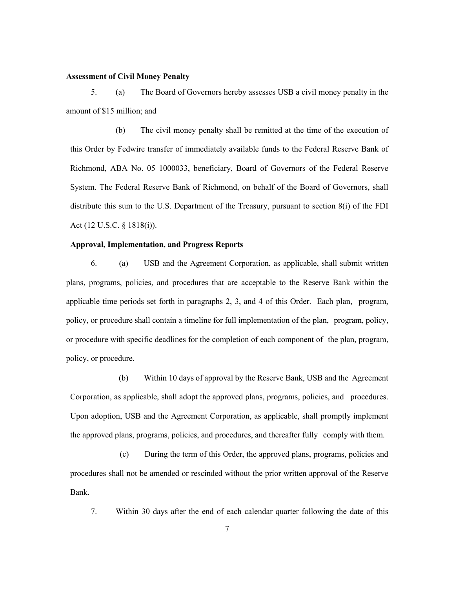#### **Assessment of Civil Money Penalty**

5. (a) The Board of Governors hereby assesses USB a civil money penalty in the amount of \$15 million; and

(b) The civil money penalty shall be remitted at the time of the execution of this Order by Fedwire transfer of immediately available funds to the Federal Reserve Bank of Richmond, ABA No. 05 1000033, beneficiary, Board of Governors of the Federal Reserve System. The Federal Reserve Bank of Richmond, on behalf of the Board of Governors, shall distribute this sum to the U.S. Department of the Treasury, pursuant to section 8(i) of the FDI Act (12 U.S.C. § 1818(i)).

### **Approval, Implementation, and Progress Reports**

6. (a) USB and the Agreement Corporation, as applicable, shall submit written plans, programs, policies, and procedures that are acceptable to the Reserve Bank within the applicable time periods set forth in paragraphs 2, 3, and 4 of this Order. Each plan, program, policy, or procedure shall contain a timeline for full implementation of the plan, program, policy, or procedure with specific deadlines for the completion of each component of the plan, program, policy, or procedure.

(b) Within 10 days of approval by the Reserve Bank, USB and the Agreement Corporation, as applicable, shall adopt the approved plans, programs, policies, and procedures. Upon adoption, USB and the Agreement Corporation, as applicable, shall promptly implement the approved plans, programs, policies, and procedures, and thereafter fully comply with them.

(c) During the term of this Order, the approved plans, programs, policies and procedures shall not be amended or rescinded without the prior written approval of the Reserve Bank.

7. Within 30 days after the end of each calendar quarter following the date of this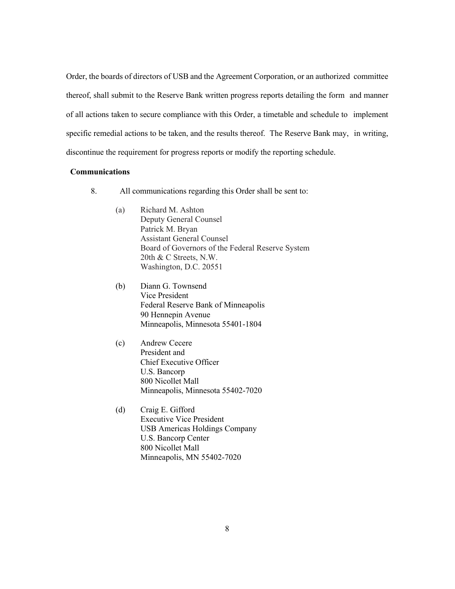Order, the boards of directors of USB and the Agreement Corporation, or an authorized committee thereof, shall submit to the Reserve Bank written progress reports detailing the form and manner of all actions taken to secure compliance with this Order, a timetable and schedule to implement specific remedial actions to be taken, and the results thereof. The Reserve Bank may, in writing, discontinue the requirement for progress reports or modify the reporting schedule.

# **Communications**

- 8. All communications regarding this Order shall be sent to:
	- (a) Richard M. Ashton Deputy General Counsel Patrick M. Bryan Assistant General Counsel Board of Governors of the Federal Reserve System 20th & C Streets, N.W. Washington, D.C. 20551
	- (b) Diann G. Townsend Vice President Federal Reserve Bank of Minneapolis 90 Hennepin Avenue Minneapolis, Minnesota 55401-1804
	- (c) Andrew Cecere President and Chief Executive Officer U.S. Bancorp 800 Nicollet Mall Minneapolis, Minnesota 55402-7020
	- (d) Craig E. Gifford Executive Vice President USB Americas Holdings Company U.S. Bancorp Center 800 Nicollet Mall Minneapolis, MN 55402-7020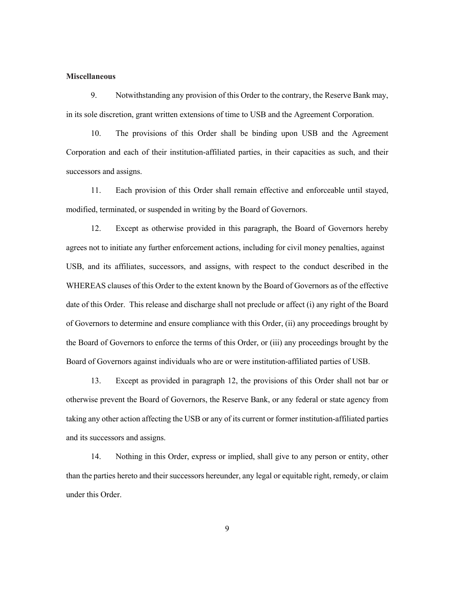#### **Miscellaneous**

9. Notwithstanding any provision of this Order to the contrary, the Reserve Bank may, in its sole discretion, grant written extensions of time to USB and the Agreement Corporation.

10. The provisions of this Order shall be binding upon USB and the Agreement Corporation and each of their institution-affiliated parties, in their capacities as such, and their successors and assigns.

11. Each provision of this Order shall remain effective and enforceable until stayed, modified, terminated, or suspended in writing by the Board of Governors.

12. Except as otherwise provided in this paragraph, the Board of Governors hereby agrees not to initiate any further enforcement actions, including for civil money penalties, against USB, and its affiliates, successors, and assigns, with respect to the conduct described in the WHEREAS clauses of this Order to the extent known by the Board of Governors as of the effective date of this Order. This release and discharge shall not preclude or affect (i) any right of the Board of Governors to determine and ensure compliance with this Order, (ii) any proceedings brought by the Board of Governors to enforce the terms of this Order, or (iii) any proceedings brought by the Board of Governors against individuals who are or were institution-affiliated parties of USB.

13. Except as provided in paragraph 12, the provisions of this Order shall not bar or otherwise prevent the Board of Governors, the Reserve Bank, or any federal or state agency from taking any other action affecting the USB or any of its current or former institution-affiliated parties and its successors and assigns.

14. Nothing in this Order, express or implied, shall give to any person or entity, other than the parties hereto and their successors hereunder, any legal or equitable right, remedy, or claim under this Order.